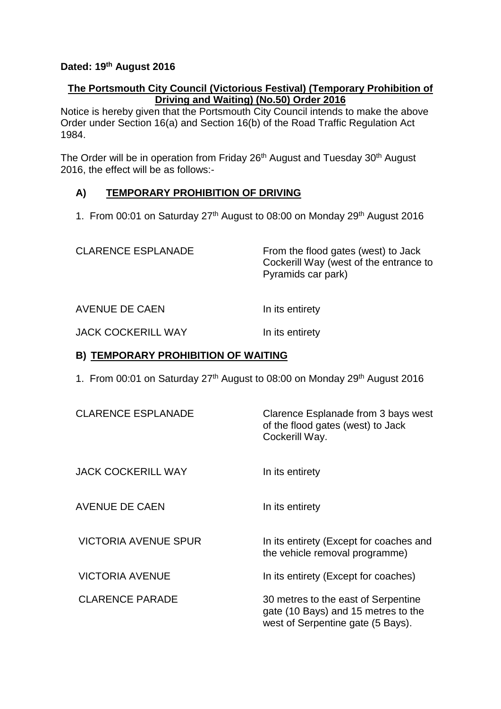#### **Dated: 19th August 2016**

## **The Portsmouth City Council (Victorious Festival) (Temporary Prohibition of Driving and Waiting) (No.50) Order 2016**

Notice is hereby given that the Portsmouth City Council intends to make the above Order under Section 16(a) and Section 16(b) of the Road Traffic Regulation Act 1984.

The Order will be in operation from Friday 26<sup>th</sup> August and Tuesday 30<sup>th</sup> August 2016, the effect will be as follows:-

# **A) TEMPORARY PROHIBITION OF DRIVING**

1. From 00:01 on Saturday 27<sup>th</sup> August to 08:00 on Monday 29<sup>th</sup> August 2016

CLARENCE ESPLANADE From the flood gates (west) to Jack Cockerill Way (west of the entrance to Pyramids car park)

AVENUE DE CAEN In its entirety

JACK COCKERILL WAY In its entirety

#### **B) TEMPORARY PROHIBITION OF WAITING**

1. From 00:01 on Saturday 27<sup>th</sup> August to 08:00 on Monday 29<sup>th</sup> August 2016

| <b>CLARENCE ESPLANADE</b>   | Clarence Esplanade from 3 bays west<br>of the flood gates (west) to Jack<br>Cockerill Way.                      |
|-----------------------------|-----------------------------------------------------------------------------------------------------------------|
| <b>JACK COCKERILL WAY</b>   | In its entirety                                                                                                 |
| <b>AVENUE DE CAEN</b>       | In its entirety                                                                                                 |
| <b>VICTORIA AVENUE SPUR</b> | In its entirety (Except for coaches and<br>the vehicle removal programme)                                       |
| <b>VICTORIA AVENUE</b>      | In its entirety (Except for coaches)                                                                            |
| <b>CLARENCE PARADE</b>      | 30 metres to the east of Serpentine<br>gate (10 Bays) and 15 metres to the<br>west of Serpentine gate (5 Bays). |